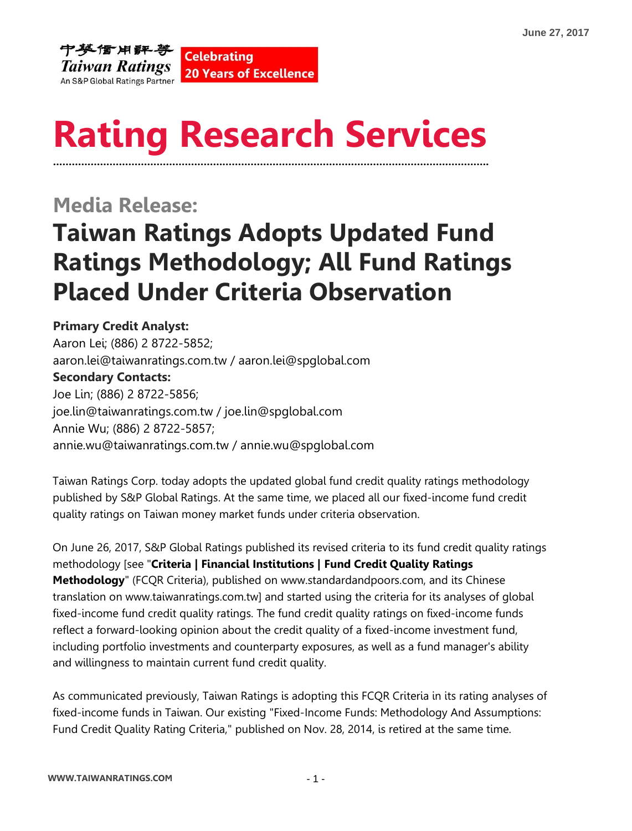

## **Rating Research Services ………………………………………………………………………………………………………………………….**

### **Media Release:**

# **Taiwan Ratings Adopts Updated Fund Ratings Methodology; All Fund Ratings Placed Under Criteria Observation**

#### **Primary Credit Analyst:**

Aaron Lei; (886) 2 8722-5852; aaron.lei@taiwanratings.com.tw / aaron.lei@spglobal.com **Secondary Contacts:** Joe Lin; (886) 2 8722-5856; [joe.lin@](mailto:joe.lin@taiwanratings.com.tw)taiwanratings.com.tw / [joe.lin@](mailto:joe.lin@taiwanratings.com.tw)spglobal.com Annie Wu; (886) 2 8722-5857; annie.wu@taiwanratings.com.tw / annie.wu@spglobal.com

Taiwan Ratings Corp. today adopts the updated global fund credit quality ratings methodology published by S&P Global Ratings. At the same time, we placed all our fixed-income fund credit quality ratings on Taiwan money market funds under criteria observation.

On June 26, 2017, S&P Global Ratings published its revised criteria to its fund credit quality ratings methodology [see "**Criteria | Financial Institutions | Fund Credit Quality Ratings Methodology**" (FCQR Criteria), published on www.standardandpoors.com, and its Chinese translation on [www.taiwanratings.com.tw\]](http://www.taiwanratings.com.tw/) and started using the criteria for its analyses of global fixed-income fund credit quality ratings. The fund credit quality ratings on fixed-income funds reflect a forward-looking opinion about the credit quality of a fixed-income investment fund, including portfolio investments and counterparty exposures, as well as a fund manager's ability and willingness to maintain current fund credit quality.

As communicated previously, Taiwan Ratings is adopting this FCQR Criteria in its rating analyses of fixed-income funds in Taiwan. Our existing "Fixed-Income Funds: Methodology And Assumptions: Fund Credit Quality Rating Criteria," published on Nov. 28, 2014, is retired at the same time.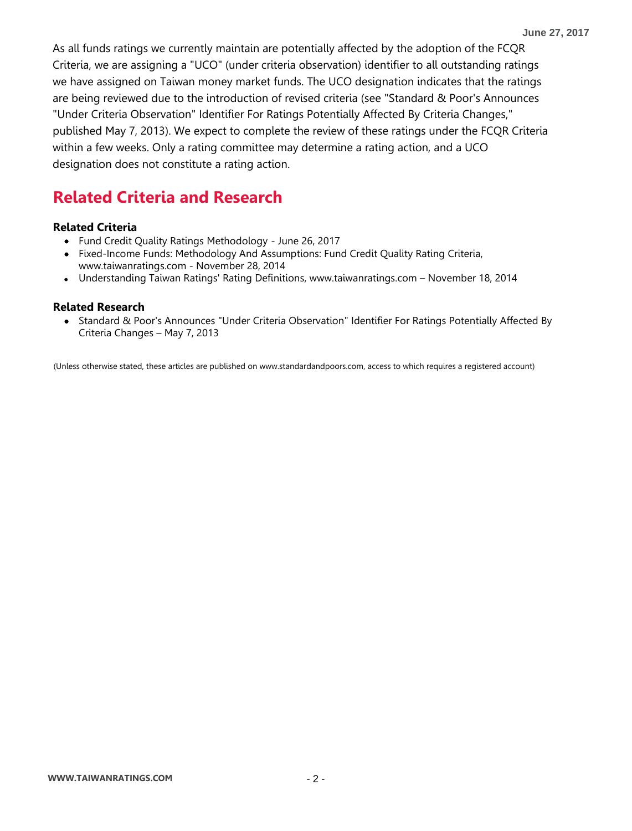As all funds ratings we currently maintain are potentially affected by the adoption of the FCQR Criteria, we are assigning a "UCO" (under criteria observation) identifier to all outstanding ratings we have assigned on Taiwan money market funds. The UCO designation indicates that the ratings are being reviewed due to the introduction of revised criteria (see "Standard & Poor's Announces "Under Criteria Observation" Identifier For Ratings Potentially Affected By Criteria Changes," published May 7, 2013). We expect to complete the review of these ratings under the FCQR Criteria within a few weeks. Only a rating committee may determine a rating action, and a UCO designation does not constitute a rating action.

### **Related Criteria and Research**

#### **Related Criteria**

- Fund Credit Quality Ratings Methodology June 26, 2017
- Fixed-Income Funds: Methodology And Assumptions: Fund Credit Quality Rating Criteria, www.taiwanratings.com - November 28, 2014
- Understanding Taiwan Ratings' Rating Definitions, www.taiwanratings.com November 18, 2014

#### **Related Research**

• Standard & Poor's Announces "Under Criteria Observation" Identifier For Ratings Potentially Affected By Criteria Changes – May 7, 2013

(Unless otherwise stated, these articles are published on www.standardandpoors.com, access to which requires a registered account)